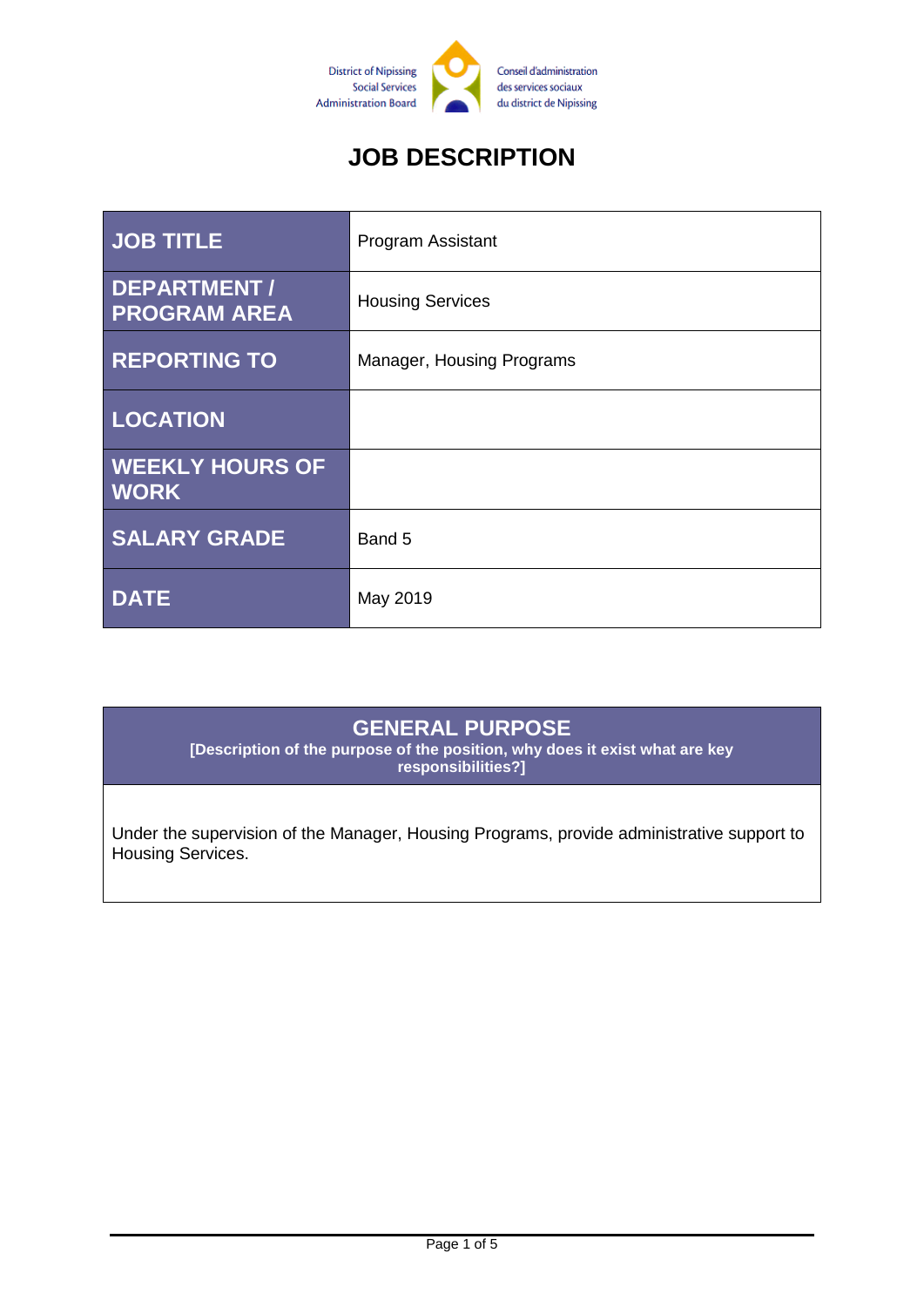

# **JOB DESCRIPTION**

| <b>JOB TITLE</b>                          | <b>Program Assistant</b>  |
|-------------------------------------------|---------------------------|
| <b>DEPARTMENT/</b><br><b>PROGRAM AREA</b> | <b>Housing Services</b>   |
| <b>REPORTING TO</b>                       | Manager, Housing Programs |
| <b>LOCATION</b>                           |                           |
| <b>WEEKLY HOURS OF</b><br><b>WORK</b>     |                           |
| <b>SALARY GRADE</b>                       | Band 5                    |
| <b>DATE</b>                               | May 2019                  |

#### **GENERAL PURPOSE**

**[Description of the purpose of the position, why does it exist what are key responsibilities?]**

Under the supervision of the Manager, Housing Programs, provide administrative support to Housing Services.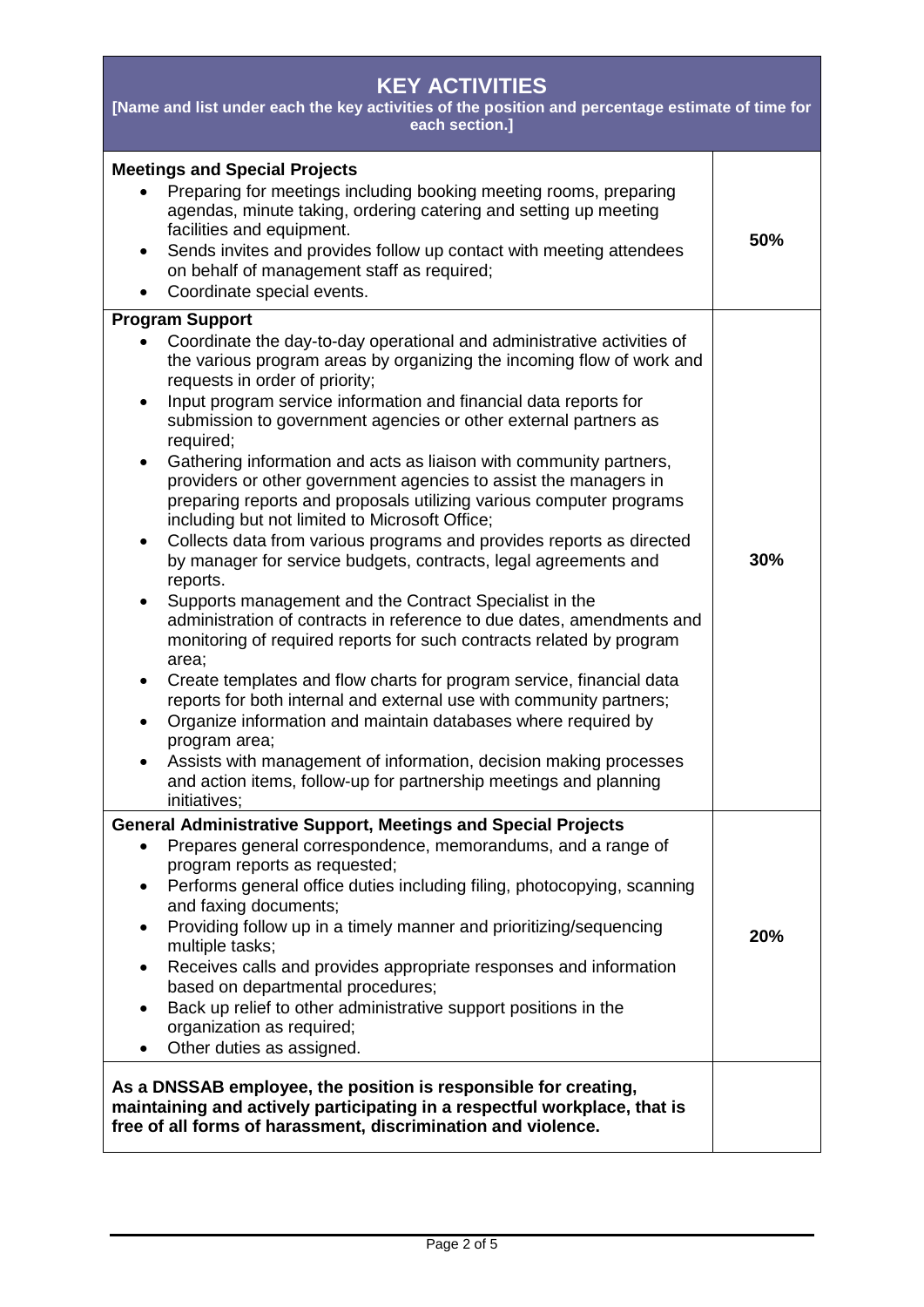| <b>KEY ACTIVITIES</b><br>[Name and list under each the key activities of the position and percentage estimate of time for<br>each section.]                                                                                                                                                                                                                                                                                                                                                                                                                                                                                                                                                                                                                                                                                                                                                                                                                                                                                                                                                                                                                                                                                                                                                                                                                                                                                                                       |     |  |
|-------------------------------------------------------------------------------------------------------------------------------------------------------------------------------------------------------------------------------------------------------------------------------------------------------------------------------------------------------------------------------------------------------------------------------------------------------------------------------------------------------------------------------------------------------------------------------------------------------------------------------------------------------------------------------------------------------------------------------------------------------------------------------------------------------------------------------------------------------------------------------------------------------------------------------------------------------------------------------------------------------------------------------------------------------------------------------------------------------------------------------------------------------------------------------------------------------------------------------------------------------------------------------------------------------------------------------------------------------------------------------------------------------------------------------------------------------------------|-----|--|
| <b>Meetings and Special Projects</b><br>Preparing for meetings including booking meeting rooms, preparing<br>agendas, minute taking, ordering catering and setting up meeting<br>facilities and equipment.<br>Sends invites and provides follow up contact with meeting attendees<br>$\bullet$<br>on behalf of management staff as required;<br>Coordinate special events.<br>$\bullet$                                                                                                                                                                                                                                                                                                                                                                                                                                                                                                                                                                                                                                                                                                                                                                                                                                                                                                                                                                                                                                                                           | 50% |  |
| <b>Program Support</b><br>Coordinate the day-to-day operational and administrative activities of<br>the various program areas by organizing the incoming flow of work and<br>requests in order of priority;<br>Input program service information and financial data reports for<br>$\bullet$<br>submission to government agencies or other external partners as<br>required;<br>Gathering information and acts as liaison with community partners,<br>$\bullet$<br>providers or other government agencies to assist the managers in<br>preparing reports and proposals utilizing various computer programs<br>including but not limited to Microsoft Office;<br>Collects data from various programs and provides reports as directed<br>٠<br>by manager for service budgets, contracts, legal agreements and<br>reports.<br>Supports management and the Contract Specialist in the<br>$\bullet$<br>administration of contracts in reference to due dates, amendments and<br>monitoring of required reports for such contracts related by program<br>area;<br>Create templates and flow charts for program service, financial data<br>$\bullet$<br>reports for both internal and external use with community partners;<br>Organize information and maintain databases where required by<br>program area;<br>Assists with management of information, decision making processes<br>and action items, follow-up for partnership meetings and planning<br>initiatives; | 30% |  |
| <b>General Administrative Support, Meetings and Special Projects</b><br>Prepares general correspondence, memorandums, and a range of<br>٠<br>program reports as requested;<br>Performs general office duties including filing, photocopying, scanning<br>٠<br>and faxing documents;<br>Providing follow up in a timely manner and prioritizing/sequencing<br>٠<br>multiple tasks;<br>Receives calls and provides appropriate responses and information<br>٠<br>based on departmental procedures;<br>Back up relief to other administrative support positions in the<br>organization as required;<br>Other duties as assigned.<br>$\bullet$                                                                                                                                                                                                                                                                                                                                                                                                                                                                                                                                                                                                                                                                                                                                                                                                                        | 20% |  |
| As a DNSSAB employee, the position is responsible for creating,<br>maintaining and actively participating in a respectful workplace, that is<br>free of all forms of harassment, discrimination and violence.                                                                                                                                                                                                                                                                                                                                                                                                                                                                                                                                                                                                                                                                                                                                                                                                                                                                                                                                                                                                                                                                                                                                                                                                                                                     |     |  |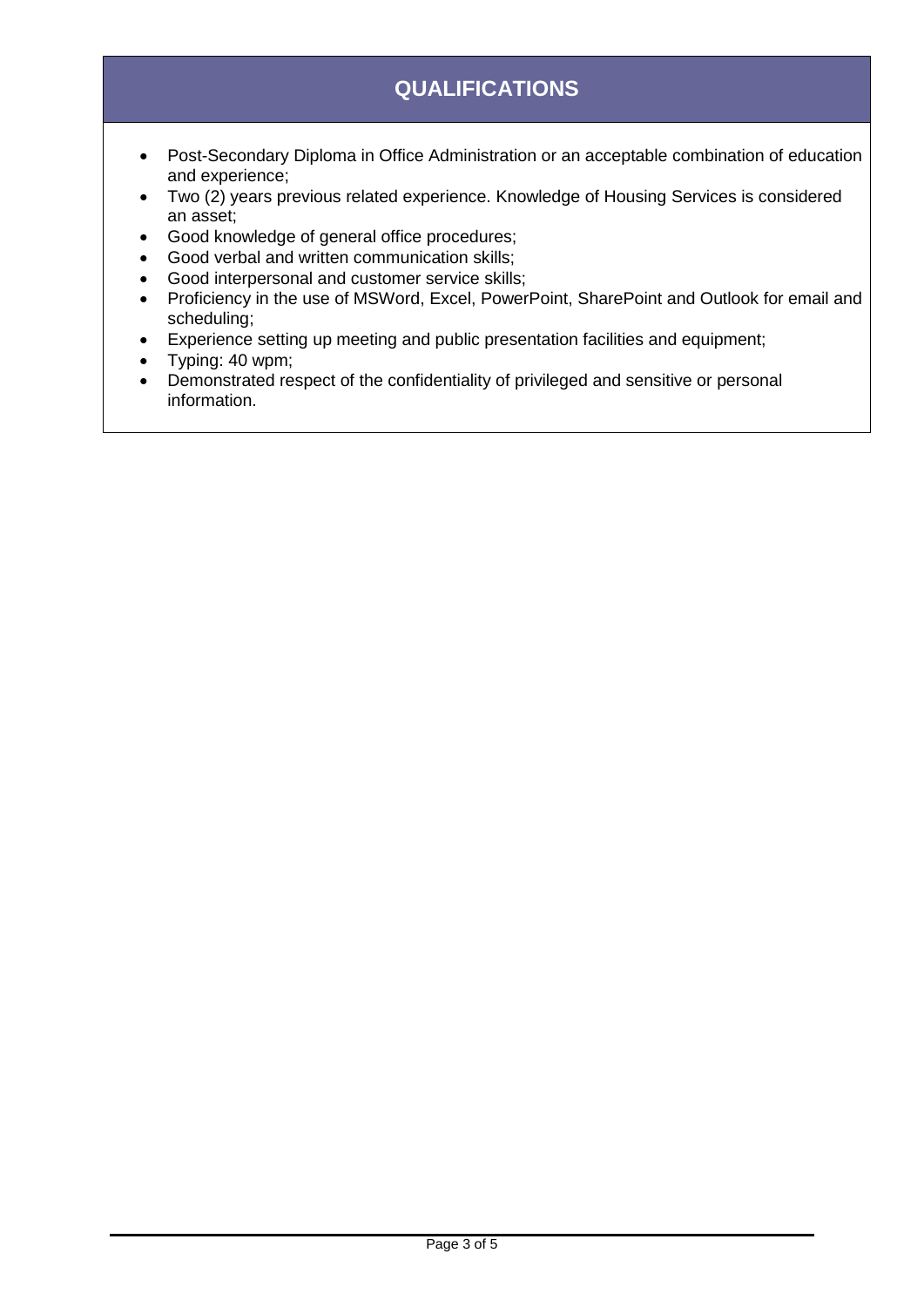## **QUALIFICATIONS**

- Post-Secondary Diploma in Office Administration or an acceptable combination of education and experience;
- Two (2) years previous related experience. Knowledge of Housing Services is considered an asset;
- Good knowledge of general office procedures;
- Good verbal and written communication skills;
- Good interpersonal and customer service skills;
- Proficiency in the use of MSWord, Excel, PowerPoint, SharePoint and Outlook for email and scheduling;
- Experience setting up meeting and public presentation facilities and equipment;
- Typing: 40 wpm;
- Demonstrated respect of the confidentiality of privileged and sensitive or personal information.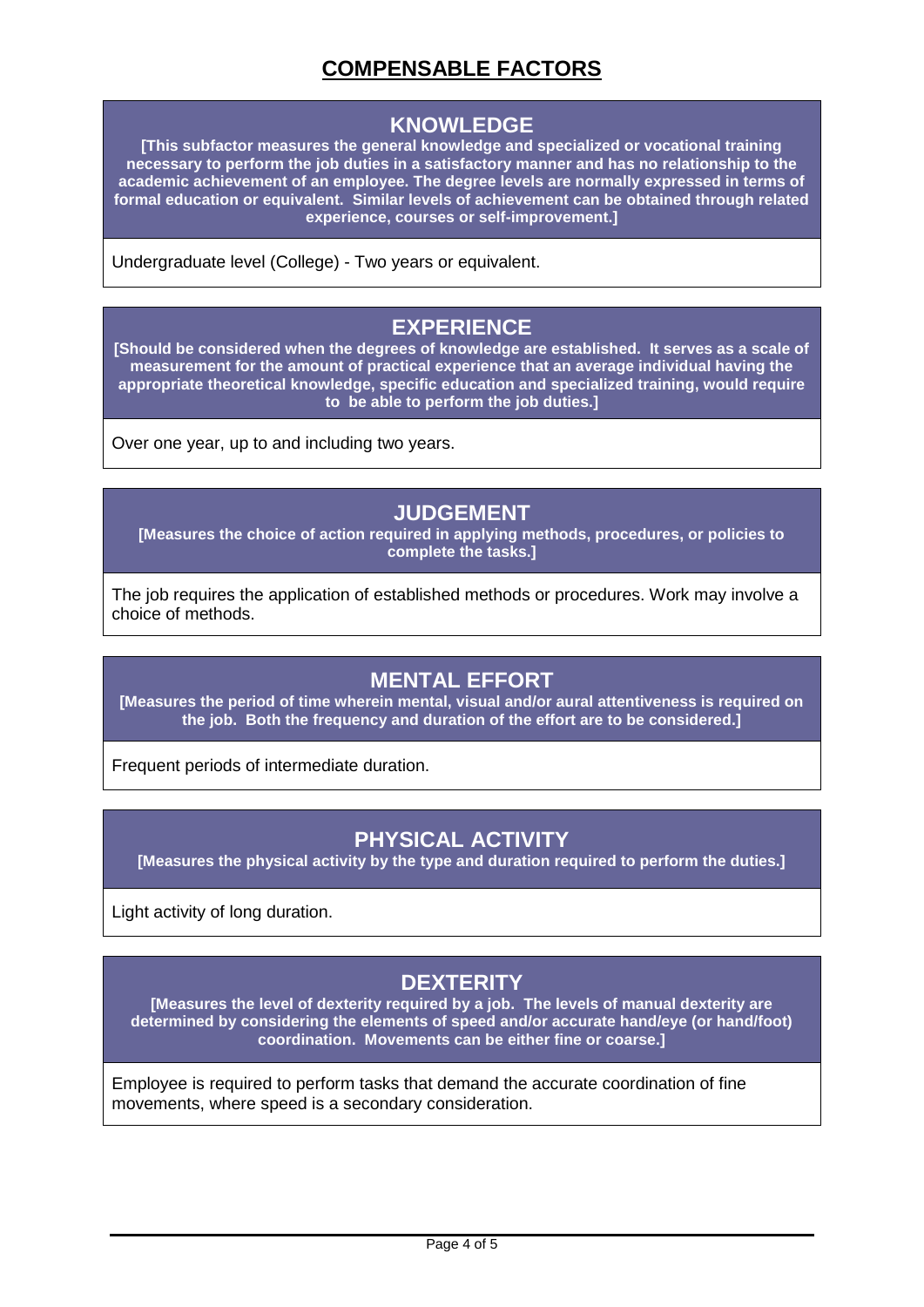### **COMPENSABLE FACTORS**

#### **KNOWLEDGE**

**[This subfactor measures the general knowledge and specialized or vocational training necessary to perform the job duties in a satisfactory manner and has no relationship to the academic achievement of an employee. The degree levels are normally expressed in terms of formal education or equivalent. Similar levels of achievement can be obtained through related experience, courses or self-improvement.]**

Undergraduate level (College) - Two years or equivalent.

#### **EXPERIENCE**

**[Should be considered when the degrees of knowledge are established. It serves as a scale of measurement for the amount of practical experience that an average individual having the appropriate theoretical knowledge, specific education and specialized training, would require to be able to perform the job duties.]**

Over one year, up to and including two years.

#### **JUDGEMENT**

**[Measures the choice of action required in applying methods, procedures, or policies to complete the tasks.]**

The job requires the application of established methods or procedures. Work may involve a choice of methods.

#### **MENTAL EFFORT**

**[Measures the period of time wherein mental, visual and/or aural attentiveness is required on the job. Both the frequency and duration of the effort are to be considered.]**

Frequent periods of intermediate duration.

#### **PHYSICAL ACTIVITY**

**[Measures the physical activity by the type and duration required to perform the duties.]**

Light activity of long duration.

### **DEXTERITY**

**[Measures the level of dexterity required by a job. The levels of manual dexterity are determined by considering the elements of speed and/or accurate hand/eye (or hand/foot) coordination. Movements can be either fine or coarse.]**

Employee is required to perform tasks that demand the accurate coordination of fine movements, where speed is a secondary consideration.